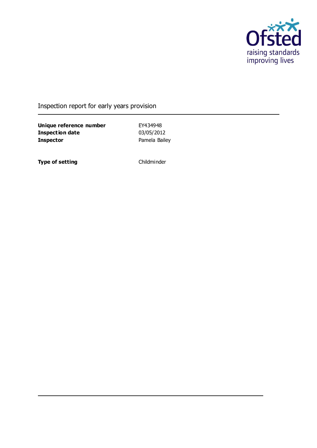

#### Inspection report for early years provision

**Unique reference number** EY434948<br> **Inspection date** 03/05/2012 **Inspection date Inspector** Pamela Bailey

**Type of setting** Childminder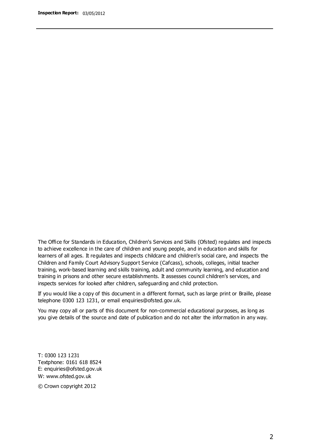The Office for Standards in Education, Children's Services and Skills (Ofsted) regulates and inspects to achieve excellence in the care of children and young people, and in education and skills for learners of all ages. It regulates and inspects childcare and children's social care, and inspects the Children and Family Court Advisory Support Service (Cafcass), schools, colleges, initial teacher training, work-based learning and skills training, adult and community learning, and education and training in prisons and other secure establishments. It assesses council children's services, and inspects services for looked after children, safeguarding and child protection.

If you would like a copy of this document in a different format, such as large print or Braille, please telephone 0300 123 1231, or email enquiries@ofsted.gov.uk.

You may copy all or parts of this document for non-commercial educational purposes, as long as you give details of the source and date of publication and do not alter the information in any way.

T: 0300 123 1231 Textphone: 0161 618 8524 E: enquiries@ofsted.gov.uk W: [www.ofsted.gov.uk](http://www.ofsted.gov.uk/)

© Crown copyright 2012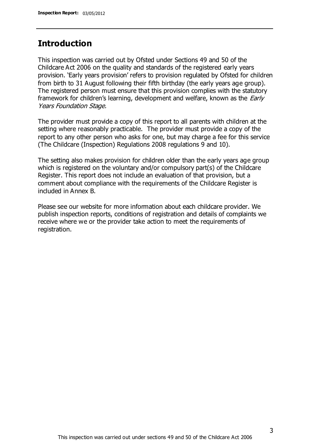#### **Introduction**

This inspection was carried out by Ofsted under Sections 49 and 50 of the Childcare Act 2006 on the quality and standards of the registered early years provision. 'Early years provision' refers to provision regulated by Ofsted for children from birth to 31 August following their fifth birthday (the early years age group). The registered person must ensure that this provision complies with the statutory framework for children's learning, development and welfare, known as the *Early* Years Foundation Stage.

The provider must provide a copy of this report to all parents with children at the setting where reasonably practicable. The provider must provide a copy of the report to any other person who asks for one, but may charge a fee for this service (The Childcare (Inspection) Regulations 2008 regulations 9 and 10).

The setting also makes provision for children older than the early years age group which is registered on the voluntary and/or compulsory part(s) of the Childcare Register. This report does not include an evaluation of that provision, but a comment about compliance with the requirements of the Childcare Register is included in Annex B.

Please see our website for more information about each childcare provider. We publish inspection reports, conditions of registration and details of complaints we receive where we or the provider take action to meet the requirements of registration.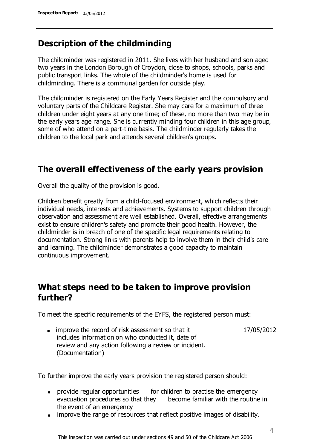### **Description of the childminding**

The childminder was registered in 2011. She lives with her husband and son aged two years in the London Borough of Croydon, close to shops, schools, parks and public transport links. The whole of the childminder's home is used for childminding. There is a communal garden for outside play.

The childminder is registered on the Early Years Register and the compulsory and voluntary parts of the Childcare Register. She may care for a maximum of three children under eight years at any one time; of these, no more than two may be in the early years age range. She is currently minding four children in this age group, some of who attend on a part-time basis. The childminder regularly takes the children to the local park and attends several children's groups.

### **The overall effectiveness of the early years provision**

Overall the quality of the provision is good.

Children benefit greatly from a child-focused environment, which reflects their individual needs, interests and achievements. Systems to support children through observation and assessment are well established. Overall, effective arrangements exist to ensure children's safety and promote their good health. However, the childminder is in breach of one of the specific legal requirements relating to documentation. Strong links with parents help to involve them in their child's care and learning. The childminder demonstrates a good capacity to maintain continuous improvement.

### **What steps need to be taken to improve provision further?**

To meet the specific requirements of the EYFS, the registered person must:

• improve the record of risk assessment so that it includes information on who conducted it, date of review and any action following a review or incident. (Documentation) 17/05/2012

To further improve the early years provision the registered person should:

- provide regular opportunities for children to practise the emergency evacuation procedures so that they become familiar with the routine in the event of an emergency
- improve the range of resources that reflect positive images of disability.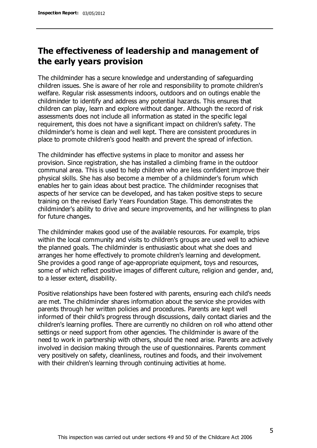## **The effectiveness of leadership and management of the early years provision**

The childminder has a secure knowledge and understanding of safeguarding children issues. She is aware of her role and responsibility to promote children's welfare. Regular risk assessments indoors, outdoors and on outings enable the childminder to identify and address any potential hazards. This ensures that children can play, learn and explore without danger. Although the record of risk assessments does not include all information as stated in the specific legal requirement, this does not have a significant impact on children's safety. The childminder's home is clean and well kept. There are consistent procedures in place to promote children's good health and prevent the spread of infection.

The childminder has effective systems in place to monitor and assess her provision. Since registration, she has installed a climbing frame in the outdoor communal area. This is used to help children who are less confident improve their physical skills. She has also become a member of a childminder's forum which enables her to gain ideas about best practice. The childminder recognises that aspects of her service can be developed, and has taken positive steps to secure training on the revised Early Years Foundation Stage. This demonstrates the childminder's ability to drive and secure improvements, and her willingness to plan for future changes.

The childminder makes good use of the available resources. For example, trips within the local community and visits to children's groups are used well to achieve the planned goals. The childminder is enthusiastic about what she does and arranges her home effectively to promote children's learning and development. She provides a good range of age-appropriate equipment, toys and resources, some of which reflect positive images of different culture, religion and gender, and, to a lesser extent, disability.

Positive relationships have been fostered with parents, ensuring each child's needs are met. The childminder shares information about the service she provides with parents through her written policies and procedures. Parents are kept well informed of their child's progress through discussions, daily contact diaries and the children's learning profiles. There are currently no children on roll who attend other settings or need support from other agencies. The childminder is aware of the need to work in partnership with others, should the need arise. Parents are actively involved in decision making through the use of questionnaires. Parents comment very positively on safety, cleanliness, routines and foods, and their involvement with their children's learning through continuing activities at home.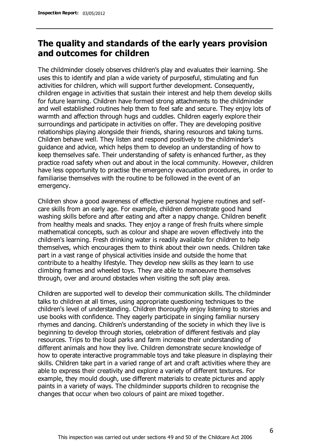### **The quality and standards of the early years provision and outcomes for children**

The childminder closely observes children's play and evaluates their learning. She uses this to identify and plan a wide variety of purposeful, stimulating and fun activities for children, which will support further development. Consequently, children engage in activities that sustain their interest and help them develop skills for future learning. Children have formed strong attachments to the childminder and well established routines help them to feel safe and secure. They enjoy lots of warmth and affection through hugs and cuddles. Children eagerly explore their surroundings and participate in activities on offer. They are developing positive relationships playing alongside their friends, sharing resources and taking turns. Children behave well. They listen and respond positively to the childminder's guidance and advice, which helps them to develop an understanding of how to keep themselves safe. Their understanding of safety is enhanced further, as they practice road safety when out and about in the local community. However, children have less opportunity to practise the emergency evacuation procedures, in order to familiarise themselves with the routine to be followed in the event of an emergency.

Children show a good awareness of effective personal hygiene routines and selfcare skills from an early age. For example, children demonstrate good hand washing skills before and after eating and after a nappy change. Children benefit from healthy meals and snacks. They enjoy a range of fresh fruits where simple mathematical concepts, such as colour and shape are woven effectively into the children's learning. Fresh drinking water is readily available for children to help themselves, which encourages them to think about their own needs. Children take part in a vast range of physical activities inside and outside the home that contribute to a healthy lifestyle. They develop new skills as they learn to use climbing frames and wheeled toys. They are able to manoeuvre themselves through, over and around obstacles when visiting the soft play area.

Children are supported well to develop their communication skills. The childminder talks to children at all times, using appropriate questioning techniques to the children's level of understanding. Children thoroughly enjoy listening to stories and use books with confidence. They eagerly participate in singing familiar nursery rhymes and dancing. Children's understanding of the society in which they live is beginning to develop through stories, celebration of different festivals and play resources. Trips to the local parks and farm increase their understanding of different animals and how they live. Children demonstrate secure knowledge of how to operate interactive programmable toys and take pleasure in displaying their skills. Children take part in a varied range of art and craft activities where they are able to express their creativity and explore a variety of different textures. For example, they mould dough, use different materials to create pictures and apply paints in a variety of ways. The childminder supports children to recognise the changes that occur when two colours of paint are mixed together.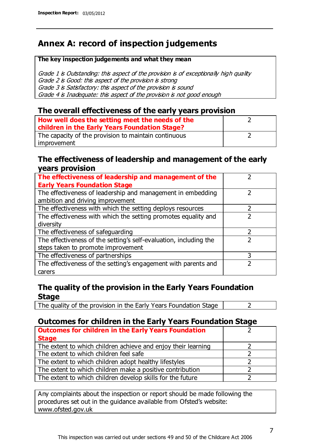## **Annex A: record of inspection judgements**

#### **The key inspection judgements and what they mean**

Grade 1 is Outstanding: this aspect of the provision is of exceptionally high quality Grade 2 is Good: this aspect of the provision is strong Grade 3 is Satisfactory: this aspect of the provision is sound Grade 4 is Inadequate: this aspect of the provision is not good enough

#### **The overall effectiveness of the early years provision**

| How well does the setting meet the needs of the<br>children in the Early Years Foundation Stage? |  |
|--------------------------------------------------------------------------------------------------|--|
| The capacity of the provision to maintain continuous                                             |  |
| improvement                                                                                      |  |

#### **The effectiveness of leadership and management of the early years provision**

| The effectiveness of leadership and management of the             |   |
|-------------------------------------------------------------------|---|
| <b>Early Years Foundation Stage</b>                               |   |
| The effectiveness of leadership and management in embedding       |   |
| ambition and driving improvement                                  |   |
| The effectiveness with which the setting deploys resources        |   |
| The effectiveness with which the setting promotes equality and    |   |
| diversity                                                         |   |
| The effectiveness of safeguarding                                 |   |
| The effectiveness of the setting's self-evaluation, including the |   |
| steps taken to promote improvement                                |   |
| The effectiveness of partnerships                                 | 3 |
| The effectiveness of the setting's engagement with parents and    |   |
| carers                                                            |   |

#### **The quality of the provision in the Early Years Foundation Stage**

The quality of the provision in the Early Years Foundation Stage  $\vert$  2

#### **Outcomes for children in the Early Years Foundation Stage**

| <b>Outcomes for children in the Early Years Foundation</b>    |  |
|---------------------------------------------------------------|--|
| <b>Stage</b>                                                  |  |
| The extent to which children achieve and enjoy their learning |  |
| The extent to which children feel safe                        |  |
| The extent to which children adopt healthy lifestyles         |  |
| The extent to which children make a positive contribution     |  |
| The extent to which children develop skills for the future    |  |

Any complaints about the inspection or report should be made following the procedures set out in the guidance available from Ofsted's website: www.ofsted.gov.uk